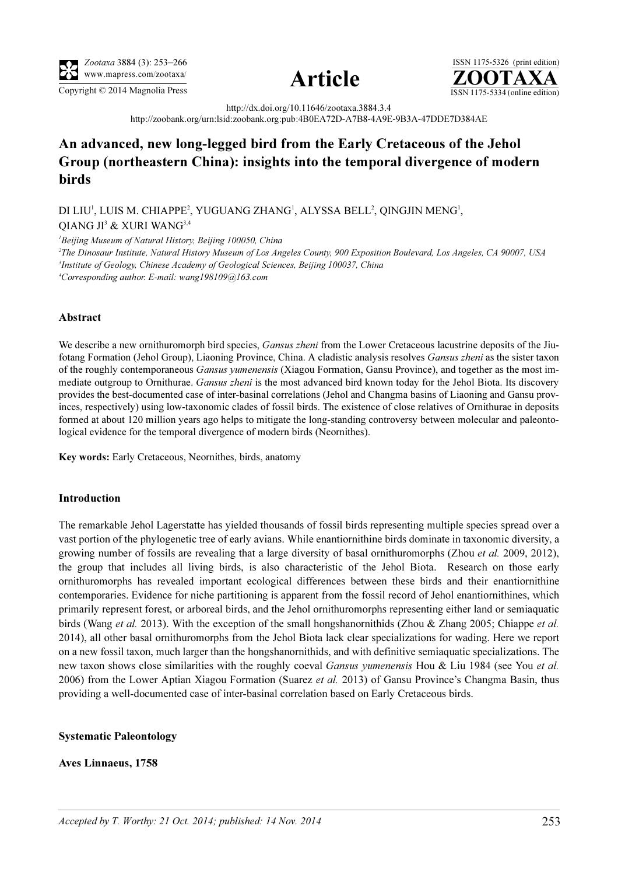





http://dx.doi.org/10.11646/zootaxa.3884.3.4

http://zoobank.org/urn:lsid:zoobank.org:pub:4B0EA72D-A7B8-4A9E-9B3A-47DDE7D384AE

# An advanced, new long-legged bird from the Early Cretaceous of the Jehol Group (northeastern China): insights into the temporal divergence of modern birds

DI LIU<sup>1</sup>, LUIS M. CHIAPPE<sup>2</sup>, YUGUANG ZHANG<sup>1</sup>, ALYSSA BELL<sup>2</sup>, QINGJIN MENG<sup>1</sup>,

QIANG JI<sup>3</sup> & XURI WANG<sup>3,4</sup>

<sup>1</sup>Beijing Museum of Natural History, Beijing 100050, China

2 The Dinosaur Institute, Natural History Museum of Los Angeles County, 900 Exposition Boulevard, Los Angeles, CA 90007, USA <sup>3</sup>Institute of Geology, Chinese Academy of Geological Sciences, Beijing 100037, China 4 Corresponding author. E-mail: wang198109@163.com

# Abstract

We describe a new ornithuromorph bird species, Gansus zheni from the Lower Cretaceous lacustrine deposits of the Jiufotang Formation (Jehol Group), Liaoning Province, China. A cladistic analysis resolves Gansus zheni as the sister taxon of the roughly contemporaneous Gansus yumenensis (Xiagou Formation, Gansu Province), and together as the most immediate outgroup to Ornithurae. Gansus zheni is the most advanced bird known today for the Jehol Biota. Its discovery provides the best-documented case of inter-basinal correlations (Jehol and Changma basins of Liaoning and Gansu provinces, respectively) using low-taxonomic clades of fossil birds. The existence of close relatives of Ornithurae in deposits formed at about 120 million years ago helps to mitigate the long-standing controversy between molecular and paleontological evidence for the temporal divergence of modern birds (Neornithes).

Key words: Early Cretaceous, Neornithes, birds, anatomy

### Introduction

The remarkable Jehol Lagerstatte has yielded thousands of fossil birds representing multiple species spread over a vast portion of the phylogenetic tree of early avians. While enantiornithine birds dominate in taxonomic diversity, a growing number of fossils are revealing that a large diversity of basal ornithuromorphs (Zhou *et al.* 2009, 2012), the group that includes all living birds, is also characteristic of the Jehol Biota. Research on those early ornithuromorphs has revealed important ecological differences between these birds and their enantiornithine contemporaries. Evidence for niche partitioning is apparent from the fossil record of Jehol enantiornithines, which primarily represent forest, or arboreal birds, and the Jehol ornithuromorphs representing either land or semiaquatic birds (Wang *et al.* 2013). With the exception of the small hongshanornithids (Zhou & Zhang 2005; Chiappe *et al.* 2014), all other basal ornithuromorphs from the Jehol Biota lack clear specializations for wading. Here we report on a new fossil taxon, much larger than the hongshanornithids, and with definitive semiaquatic specializations. The new taxon shows close similarities with the roughly coeval Gansus yumenensis Hou & Liu 1984 (see You et al. 2006) from the Lower Aptian Xiagou Formation (Suarez et al. 2013) of Gansu Province's Changma Basin, thus providing a well-documented case of inter-basinal correlation based on Early Cretaceous birds.

### Systematic Paleontology

### Aves Linnaeus, 1758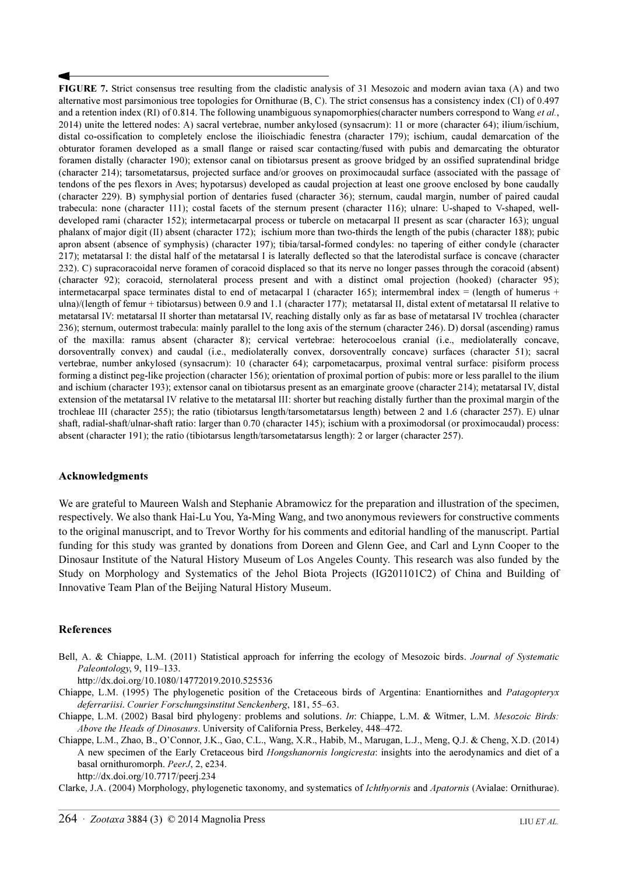FIGURE 7. Strict consensus tree resulting from the cladistic analysis of 31 Mesozoic and modern avian taxa (A) and two alternative most parsimonious tree topologies for Ornithurae (B, C). The strict consensus has a consistency index (CI) of 0.497 and a retention index (RI) of 0.814. The following unambiguous synapomorphies(character numbers correspond to Wang *et al.*, 2014) unite the lettered nodes: A) sacral vertebrae, number ankylosed (synsacrum): 11 or more (character 64); ilium/ischium, distal co-ossification to completely enclose the ilioischiadic fenestra (character 179); ischium, caudal demarcation of the obturator foramen developed as a small flange or raised scar contacting/fused with pubis and demarcating the obturator foramen distally (character 190); extensor canal on tibiotarsus present as groove bridged by an ossified supratendinal bridge (character 214); tarsometatarsus, projected surface and/or grooves on proximocaudal surface (associated with the passage of tendons of the pes flexors in Aves; hypotarsus) developed as caudal projection at least one groove enclosed by bone caudally (character 229). B) symphysial portion of dentaries fused (character 36); sternum, caudal margin, number of paired caudal trabecula: none (character 111); costal facets of the sternum present (character 116); ulnare: U-shaped to V-shaped, welldeveloped rami (character 152); intermetacarpal process or tubercle on metacarpal II present as scar (character 163); ungual phalanx of major digit (II) absent (character 172); ischium more than two-thirds the length of the pubis (character 188); pubic apron absent (absence of symphysis) (character 197); tibia/tarsal-formed condyles: no tapering of either condyle (character 217); metatarsal I: the distal half of the metatarsal I is laterally deflected so that the laterodistal surface is concave (character 232). C) supracoracoidal nerve foramen of coracoid displaced so that its nerve no longer passes through the coracoid (absent) (character 92); coracoid, sternolateral process present and with a distinct omal projection (hooked) (character 95); intermetacarpal space terminates distal to end of metacarpal I (character 165); intermembral index = (length of humerus + ulna)/(length of femur + tibiotarsus) between 0.9 and 1.1 (character 177); metatarsal II, distal extent of metatarsal II relative to metatarsal IV: metatarsal II shorter than metatarsal IV, reaching distally only as far as base of metatarsal IV trochlea (character 236); sternum, outermost trabecula: mainly parallel to the long axis of the sternum (character 246). D) dorsal (ascending) ramus of the maxilla: ramus absent (character 8); cervical vertebrae: heterocoelous cranial (i.e., mediolaterally concave, dorsoventrally convex) and caudal (i.e., mediolaterally convex, dorsoventrally concave) surfaces (character 51); sacral vertebrae, number ankylosed (synsacrum): 10 (character 64); carpometacarpus, proximal ventral surface: pisiform process forming a distinct peg-like projection (character 156); orientation of proximal portion of pubis: more or less parallel to the ilium and ischium (character 193); extensor canal on tibiotarsus present as an emarginate groove (character 214); metatarsal IV, distal extension of the metatarsal IV relative to the metatarsal III: shorter but reaching distally further than the proximal margin of the trochleae III (character 255); the ratio (tibiotarsus length/tarsometatarsus length) between 2 and 1.6 (character 257). E) ulnar shaft, radial-shaft/ulnar-shaft ratio: larger than 0.70 (character 145); ischium with a proximodorsal (or proximocaudal) process: absent (character 191); the ratio (tibiotarsus length/tarsometatarsus length): 2 or larger (character 257).

# Acknowledgments

We are grateful to Maureen Walsh and Stephanie Abramowicz for the preparation and illustration of the specimen, respectively. We also thank Hai-Lu You, Ya-Ming Wang, and two anonymous reviewers for constructive comments to the original manuscript, and to Trevor Worthy for his comments and editorial handling of the manuscript. Partial funding for this study was granted by donations from Doreen and Glenn Gee, and Carl and Lynn Cooper to the Dinosaur Institute of the Natural History Museum of Los Angeles County. This research was also funded by the Study on Morphology and Systematics of the Jehol Biota Projects (IG201101C2) of China and Building of Innovative Team Plan of the Beijing Natural History Museum.

### References

Bell, A. & Chiappe, L.M. (2011) Statistical approach for inferring the ecology of Mesozoic birds. Journal of Systematic Paleontology[, 9, 119–133.](http://dx.doi.org/10.1080/14772019.2010.525536)

[h](http://dx.doi.org/10.1080/14772019.2010.525536)ttp://dx.doi.org/10.1080/14772019.2010.525536

- Chiappe, L.M. (1995) The phylogenetic position of the Cretaceous birds of Argentina: Enantiornithes and Patagopteryx deferrariisi. Courier Forschungsinstitut Senckenberg, 181, 55–63.
- Chiappe, L.M. (2002) Basal bird phylogeny: problems and solutions. In: Chiappe, L.M. & Witmer, L.M. Mesozoic Birds: Above the Heads of Dinosaurs. University of California Press, Berkeley, 448–472.
- Chiappe, L.M., Zhao, B., O'Connor, J.K., Gao, C.L., Wang, X.R., Habib, M., Marugan, L.J., Meng, Q.J. & Cheng, X.D. (2014) A new specimen of the Early Cretaceous bird *Hongshanornis longicresta*: insights into the aerodynamics and diet of a basal ornithuromorph. PeerJ[, 2, e234.](http://dx.doi.org/10.7717/peerj.234)

[h](http://dx.doi.org/10.7717/peerj.234)ttp://dx.doi.org/10.7717/peerj.234

Clarke, J.A. (2004) Morphology, phylogenetic taxonomy, and systematics of Ichthyornis and Apatornis (Avialae: Ornithurae).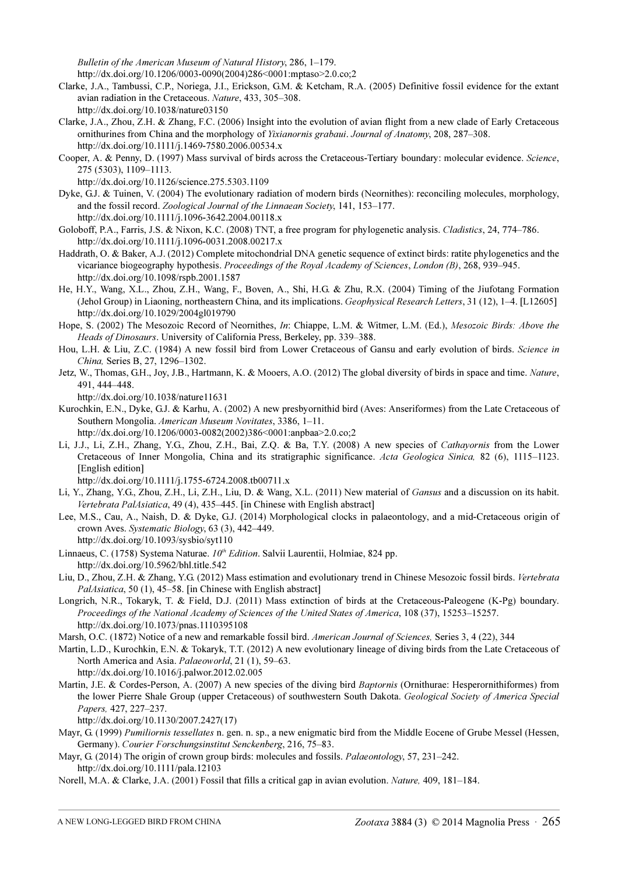Bulletin of the American Museum of Natural History[, 286, 1–179.](http://dx.doi.org/10.1206/0003-0090(2004)286%3C0001:mptaso%3E2)

[http://dx.doi.org/10.1206/0003-0090\(2004\)286<0001:mptaso>2.0.co;2](http://dx.doi.org/10.1206/0003-0090(2004)286<0001:mptaso>2.0.co;2)

- Clarke, J.A., Tambussi, C.P., Noriega, J.I., Erickson, G.M. & Ketcham, R.A. (2005) Definitive fossil evidence for the extant avian radiation in the Cretaceous. Nature[, 433, 305–308.](http://dx.doi.org/10.1038/nature03150) [h](http://dx.doi.org/10.1038/nature03150)ttp://dx.doi.org/10.1038/nature03150
- Clarke, J.A., Zhou, Z.H. & Zhang, F.C. (2006) Insight into the evolution of avian flight from a new clade of Early Cretaceous ornithurines from China and the morphology of Yixianornis grabaui. Journal of Anatomy[, 208, 287–308.](http://dx.doi.org/10.1111/j.1469-7580.2006.00534.x) [h](http://dx.doi.org/10.1111/j.1469-7580.2006.00534.x)ttp://dx.doi.org/10.1111/j.1469-7580.2006.00534.x
- Cooper, A. & Penny, D. (1997) Mass survival of birds across the Cretaceous-Tertiary boundary: molecular evidence. Science[,](http://dx.doi.org/10.1126/science.275.5303.1109) [275 \(5303\), 1109–1113.](http://dx.doi.org/10.1126/science.275.5303.1109)

[h](http://dx.doi.org/10.1126/science.275.5303.1109)ttp://dx.doi.org/10.1126/science.275.5303.1109

- Dyke, G.J. & Tuinen, V. (2004) The evolutionary radiation of modern birds (Neornithes): reconciling molecules, morphology, and the fossil record. Zoological Journal of the Linnaean Society[, 141, 153–177.](http://dx.doi.org/10.1111/j.1096-3642.200) [h](http://dx.doi.org/10.1111/j.1096-3642.200)ttp://dx.doi.org/10.1111/j.1096-3642.2004.00118.x
- Goloboff, P.A., Farris, J.S. & Nixon, K.C. (2008) TNT, a free program for phylogenetic analysis. Cladistics[, 24, 774–786.](http://dx.doi.org/10.1111/j.1096-0031.2008.00217.) [h](http://dx.doi.org/10.1111/j.1096-0031.2008.00217.)ttp://dx.doi.org/10.1111/j.1096-0031.2008.00217.x
- Haddrath, O. & Baker, A.J. (2012) Complete mitochondrial DNA genetic sequence of extinct birds: ratite phylogenetics and the vicariance biogeography hypothesis. Proceedings of the Royal Academy of Sciences, London (B)[, 268, 939–945.](http://dx.doi.org/10.1098/rspb.2001.1587) [h](http://dx.doi.org/10.1098/rspb.2001.1587)ttp://dx.doi.org/10.1098/rspb.2001.1587
- He, H.Y., Wang, X.L., Zhou, Z.H., Wang, F., Boven, A., Shi, H.G. & Zhu, R.X. (2004) Timing of the Jiufotang Formation (Jehol Group) in Liaoning, northeastern China, and its implications. Geophysical Research Letters[, 31 \(12\), 1–4. \[L12605\]](http://dx.doi.org/10.1029/2004gl019790)  [h](http://dx.doi.org/10.1029/2004gl019790)ttp://dx.doi.org/10.1029/2004gl019790
- Hope, S. (2002) The Mesozoic Record of Neornithes, In: Chiappe, L.M. & Witmer, L.M. (Ed.), Mesozoic Birds: Above the Heads of Dinosaurs. University of California Press, Berkeley, pp. 339–388.
- Hou, L.H. & Liu, Z.C. (1984) A new fossil bird from Lower Cretaceous of Gansu and early evolution of birds. Science in China, Series B, 27, 1296–1302.
- Jetz[,](http://dx.doi.org/10.1038/nature11631) W., Thomas, G.H., Joy, J.B., Hartmann, K. & Mooers, A.O. (2012) The global diversity of birds in space and time. Nature, [491, 444–448.](http://dx.doi.org/10.1038/nature11631)

[h](http://dx.doi.org/10.1038/nature11631)ttp://dx.doi.org/10.1038/nature11631

- Kurochkin, E.N., Dyke, G.J. & Karhu, A. (2002) A new presbyornithid bird (Aves: Anseriformes) from the Late Cretaceous of Southern Mongolia. American Museum Novitates[, 3386, 1–11.](http://dx.doi.org/10.1206/0003-0082(2002)386%3C0001:anpbaa%3E2.0.co;2) [http://dx.doi.org/10.1206/0003-0082\(2002\)386<0001:anpbaa>2.0.co;2](http://dx.doi.org/10.1206/0003-0082(2002)386<0001:anpbaa>2.0.co;2)
- Li, J.J., Li, Z.H., Zhang, Y.G., Zhou, Z.H., Bai, Z.Q. & Ba, T.Y. (2008) A new species of Cathayornis from the Lower Cretaceous of Inner Mongolia, China and its stratigraphic significance. Acta Geologica Sinica, 82 (6), 1115–1123. [\[English edition\]](http://dx.doi.org/10.1111/j.1755-6724.2008.tb00711.x)

[h](http://dx.doi.org/10.1111/j.1755-6724.2008.tb00711.x)ttp://dx.doi.org/10.1111/j.1755-6724.2008.tb00711.x

- Li, Y., Zhang, Y.G., Zhou, Z.H., Li, Z.H., Liu, D. & Wang, X.L. (2011) New material of Gansus and a discussion on its habit. Vertebrata PalAsiatica, 49 (4), 435–445. [in Chinese with English abstract]
- Lee, M.S., Cau, A., Naish, D. & Dyke, G.J. (2014) Morphological clocks in palaeontology, and a mid-Cretaceous origin of crown Aves. Systematic Biology[, 63 \(3\), 442–449.](http://dx.doi.org/10.1093/sysbio/syt110) [h](http://dx.doi.org/10.1093/sysbio/syt110)ttp://dx.doi.org/10.1093/sysbio/syt110
- Linnaeus, C. (1758) Systema Naturae.  $10^{th}$  Edition. Salvii Laurentii, Holmiae, 824 pp. <http://dx.doi.org/10.5962/bhl.title.542>
- Liu, D., Zhou, Z.H. & Zhang, Y.G. (2012) Mass estimation and evolutionary trend in Chinese Mesozoic fossil birds. Vertebrata PalAsiatica, 50 (1), 45–58. [in Chinese with English abstract]
- [Longrich, N.R., Tokaryk, T. & Field, D.J. \(2011](http://www.bath.ac.uk/view/person_id/7758.html)[\) Mass extinction of birds at the Cretaceous-Paleogene \(K-Pg\) boundary.](http://opus.bath.ac.uk/37339/) Proceedings of the National Academy of Sciences of the United States of America[, 108 \(37\), 15253–15257.](http://dx.doi.org/10.1073/pnas.1110395108) [h](http://dx.doi.org/10.1073/pnas.1110395108)ttp://dx.doi.org/10.1073/pnas.1110395108
- Marsh, O.C. (1872) Notice of a new and remarkable fossil bird. American Journal of Sciences, Series 3, 4 (22), 344
- Martin, L.D., Kurochkin, E.N. & Tokaryk, T.T. (2012) A new evolutionary lineage of diving birds from the Late Cretaceous of North America and Asia. Palaeoworld[, 21 \(1\), 59–63.](http://dx.doi.org/10.1016/j.palwor.2012.02.005) [h](http://dx.doi.org/10.1016/j.palwor.2012.02.005)ttp://dx.doi.org/10.1016/j.palwor.2012.02.005
- Martin, J.E. & Cordes-Person, A. (2007) A new species of the diving bird Baptornis (Ornithurae: Hesperornithiformes) from the lower Pierre Shale Group (upper Cretaceous) of southwestern South Dakota. Geological Society of America Special Papers, [427, 227–237.](http://dx.doi.org/10.1130/2007.2427(17))

[h](http://dx.doi.org/10.1130/2007.2427(17))ttp://dx.doi.org/10.1130/2007.2427(17)

- Mayr, G. (1999) Pumiliornis tessellates n. gen. n. sp., a new enigmatic bird from the Middle Eocene of Grube Messel (Hessen, Germany). Courier Forschungsinstitut Senckenberg, 216, 75–83.
- Mayr, G. (2014) The origin of crown group birds: molecules and fossils. *Palaeontology*[, 57, 231–242.](http://dx.doi.org/10.1111/pala.12103) [h](http://dx.doi.org/10.1111/pala.12103)ttp://dx.doi.org/10.1111/pala.12103
- Norell, M.A. & Clarke, J.A. (2001) Fossil that fills a critical gap in avian evolution. Nature, [409, 181–184.](http://dx.doi.org/10.1038/35051563)